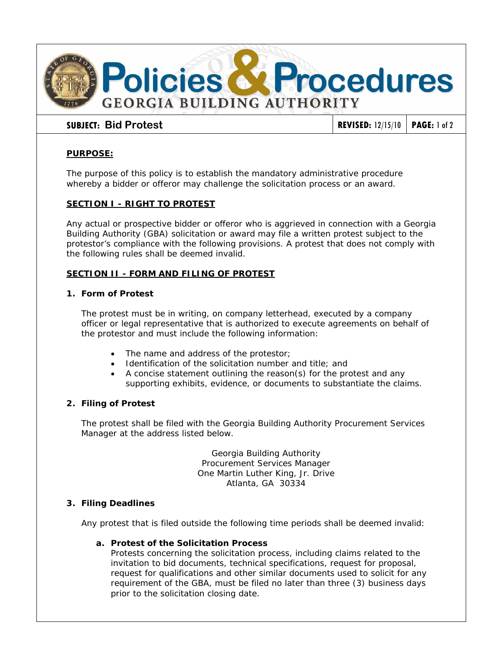

# **PURPOSE:**

The purpose of this policy is to establish the mandatory administrative procedure whereby a bidder or offeror may challenge the solicitation process or an award.

# **SECTION I - RIGHT TO PROTEST**

Any actual or prospective bidder or offeror who is aggrieved in connection with a Georgia Building Authority (GBA) solicitation or award may file a written protest subject to the protestor's compliance with the following provisions. A protest that does not comply with the following rules shall be deemed invalid.

# **SECTION II - FORM AND FILING OF PROTEST**

## **1. Form of Protest**

The protest must be in writing, on company letterhead, executed by a company officer or legal representative that is authorized to execute agreements on behalf of the protestor and must include the following information:

- The name and address of the protestor;
- Identification of the solicitation number and title; and
- A concise statement outlining the reason(s) for the protest and any supporting exhibits, evidence, or documents to substantiate the claims.

## **2. Filing of Protest**

The protest shall be filed with the Georgia Building Authority Procurement Services Manager at the address listed below.

> Georgia Building Authority Procurement Services Manager One Martin Luther King, Jr. Drive Atlanta, GA 30334

## **3. Filing Deadlines**

Any protest that is filed outside the following time periods shall be deemed invalid:

# **a. Protest of the Solicitation Process**

Protests concerning the solicitation process, including claims related to the invitation to bid documents, technical specifications, request for proposal, request for qualifications and other similar documents used to solicit for any requirement of the GBA, must be filed no later than three (3) business days prior to the solicitation closing date.